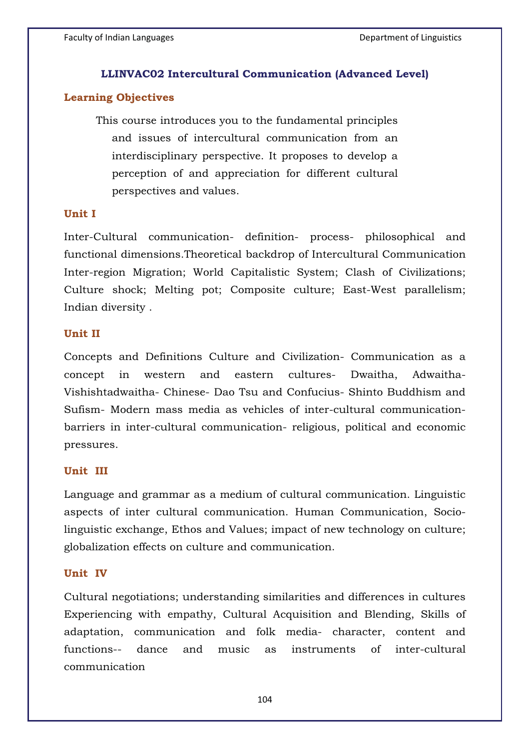# **LLINVAC02 Intercultural Communication (Advanced Level)**

# **Learning Objectives**

This course introduces you to the fundamental principles and issues of intercultural communication from an interdisciplinary perspective. It proposes to develop a perception of and appreciation for different cultural perspectives and values.

## **Unit I**

Inter-Cultural communication- definition- process- philosophical and functional dimensions.Theoretical backdrop of Intercultural Communication Inter-region Migration; World Capitalistic System; Clash of Civilizations; Culture shock; Melting pot; Composite culture; East-West parallelism; Indian diversity .

# **Unit II**

Concepts and Definitions Culture and Civilization- Communication as a concept in western and eastern cultures- Dwaitha, Adwaitha-Vishishtadwaitha- Chinese- Dao Tsu and Confucius- Shinto Buddhism and Sufism- Modern mass media as vehicles of inter-cultural communicationbarriers in inter-cultural communication- religious, political and economic pressures.

# **Unit III**

Language and grammar as a medium of cultural communication. Linguistic aspects of inter cultural communication. Human Communication, Sociolinguistic exchange, Ethos and Values; impact of new technology on culture; globalization effects on culture and communication.

## **Unit IV**

Cultural negotiations; understanding similarities and differences in cultures Experiencing with empathy, Cultural Acquisition and Blending, Skills of adaptation, communication and folk media- character, content and functions-- dance and music as instruments of inter-cultural communication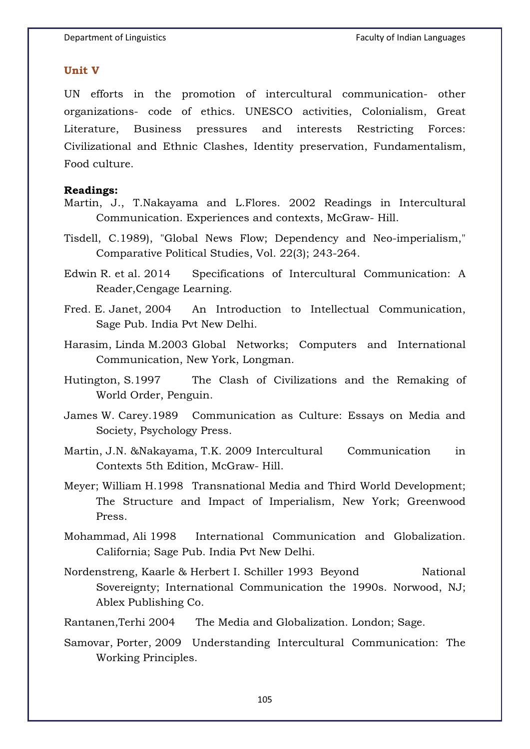#### **Unit V**

UN efforts in the promotion of intercultural communication- other organizations- code of ethics. UNESCO activities, Colonialism, Great Literature, Business pressures and interests Restricting Forces: Civilizational and Ethnic Clashes, Identity preservation, Fundamentalism, Food culture.

### **Readings:**

- Martin, J., T.Nakayama and L.Flores. 2002 Readings in Intercultural Communication. Experiences and contexts, McGraw- Hill.
- Tisdell, C.1989), "Global News Flow; Dependency and Neo-imperialism," Comparative Political Studies, Vol. 22(3); 243-264.
- Edwin R. et al. 2014 Specifications of Intercultural Communication: A Reader,Cengage Learning.
- Fred. E. Janet, 2004 An Introduction to Intellectual Communication, Sage Pub. India Pvt New Delhi.
- Harasim, Linda M.2003 Global Networks; Computers and International Communication, New York, Longman.
- Hutington, S.1997 The Clash of Civilizations and the Remaking of World Order, Penguin.
- James W. Carey.1989 Communication as Culture: Essays on Media and Society, Psychology Press.
- Martin, J.N. &Nakayama, T.K. 2009 Intercultural Communication in Contexts 5th Edition, McGraw- Hill.
- Meyer; William H.1998 Transnational Media and Third World Development; The Structure and Impact of Imperialism, New York; Greenwood Press.
- Mohammad, Ali 1998 International Communication and Globalization. California; Sage Pub. India Pvt New Delhi.
- Nordenstreng, Kaarle & Herbert I. Schiller 1993 Beyond National Sovereignty; International Communication the 1990s. Norwood, NJ; Ablex Publishing Co.
- Rantanen,Terhi 2004 The Media and Globalization. London; Sage.
- Samovar, Porter, 2009 Understanding Intercultural Communication: The Working Principles.